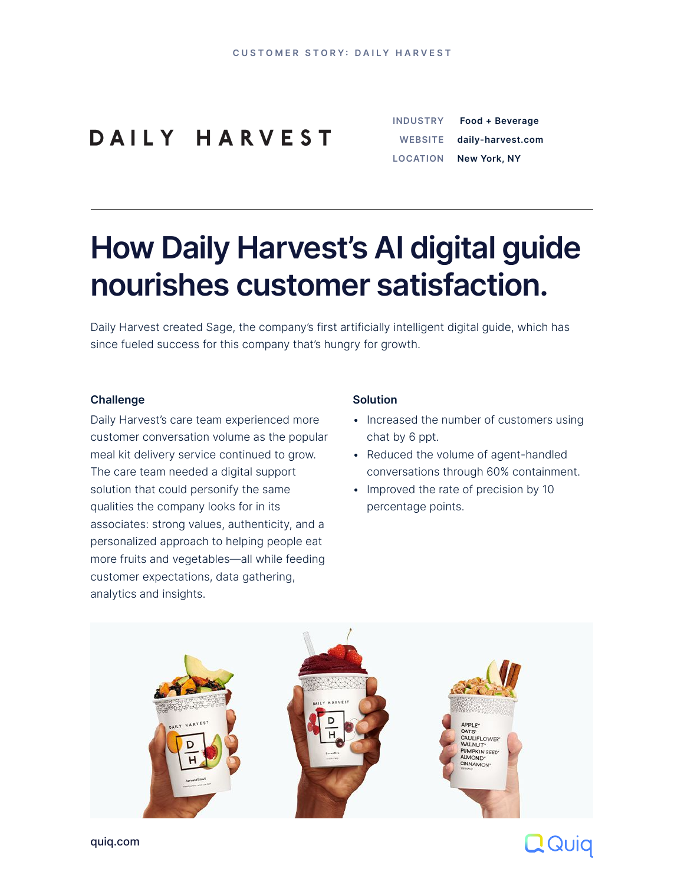**CUSTOMER STORY: DAILY HARVEST** 

#### DAILY HARVEST

[quiq.com](http://quiq.com)

# **How Daily Harvest's AI digital guide nourishes customer satisfaction.**

Daily Harvest created Sage, the company's first artificially intelligent digital guide, which has since fueled success for this company that's hungry for growth.

#### **Challenge**

Daily Harvest's care team experienced more customer conversation volume as the popular meal kit delivery service continued to grow. The care team needed a digital support solution that could personify the same qualities the company looks for in its associates: strong values, authenticity, and a personalized approach to helping people eat more fruits and vegetables—all while feeding customer expectations, data gathering, analytics and insights.

#### **Solution**

- Increased the number of customers using chat by 6 ppt.
- Reduced the volume of agent-handled conversations through 60% containment.
- Improved the rate of precision by 10

percentage points.





| <b>INDUSTRY</b> | Food + Beverage     |
|-----------------|---------------------|
| <b>WEBSITE</b>  | daily-harvest.com   |
| <b>LOCATION</b> | <b>New York, NY</b> |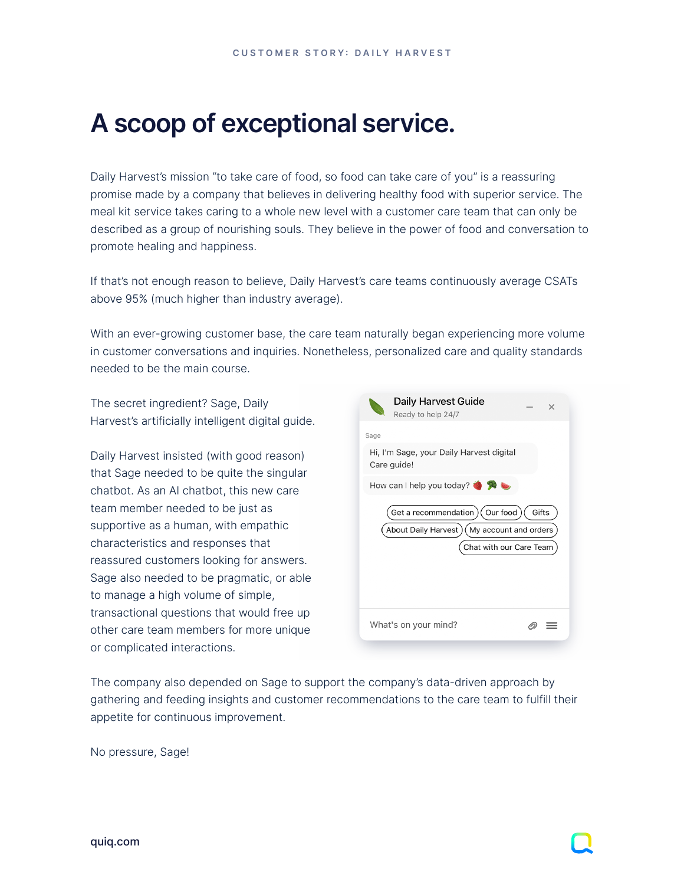### **A scoop of exceptional service.**

Daily Harvest's mission "to take care of food, so food can take care of you" is a reassuring promise made by a company that believes in delivering healthy food with superior service. The meal kit service takes caring to a whole new level with a customer care team that can only be described as a group of nourishing souls. They believe in the power of food and conversation to promote healing and happiness.

If that's not enough reason to believe, Daily Harvest's care teams continuously average CSATs above 95% (much higher than industry average).

With an ever-growing customer base, the care team naturally began experiencing more volume in customer conversations and inquiries. Nonetheless, personalized care and quality standards needed to be the main course.

The secret ingredient? Sage, Daily Harvest's artificially intelligent digital guide.

Daily Harvest insisted (with good reason) that Sage needed to be quite the singular chatbot. As an AI chatbot, this new care



team member needed to be just as supportive as a human, with empathic characteristics and responses that reassured customers looking for answers. Sage also needed to be pragmatic, or able to manage a high volume of simple, transactional questions that would free up other care team members for more unique or complicated interactions.

| $($ Our food $)$<br>Get a recommendation)<br>Gifts  |  |
|-----------------------------------------------------|--|
| My account and orders<br><b>About Daily Harvest</b> |  |
| Chat with our Care Team                             |  |
|                                                     |  |
|                                                     |  |
|                                                     |  |
| What's on your mind?                                |  |
|                                                     |  |

The company also depended on Sage to support the company's data-driven approach by gathering and feeding insights and customer recommendations to the care team to fulfill their appetite for continuous improvement.

No pressure, Sage!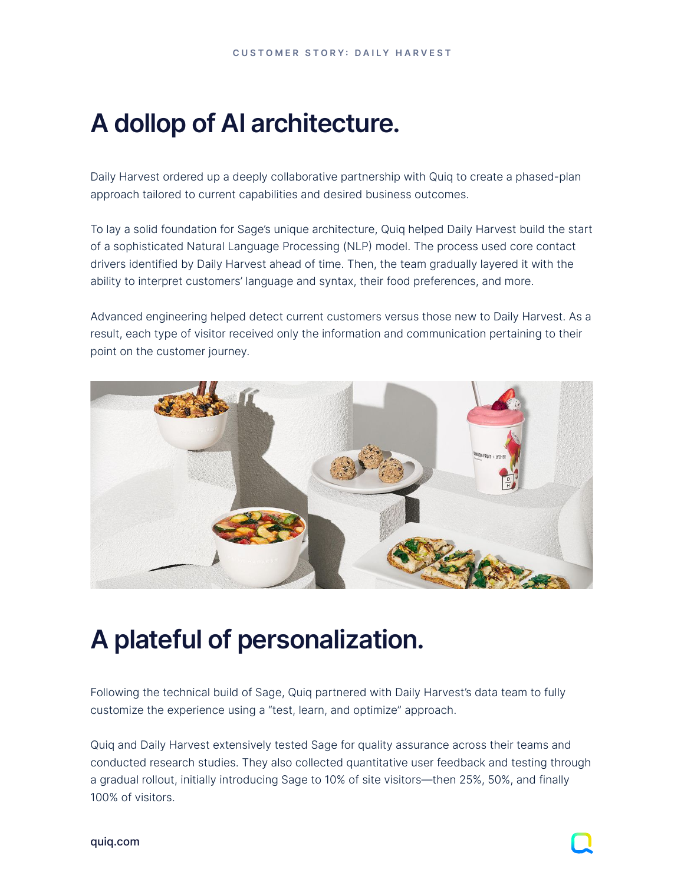# **A dollop of AI architecture.**

Daily Harvest ordered up a deeply collaborative partnership with Quiq to create a phased-plan approach tailored to current capabilities and desired business outcomes.

To lay a solid foundation for Sage's unique architecture, Quiq helped Daily Harvest build the start of a sophisticated Natural Language Processing (NLP) model. The process used core contact drivers identified by Daily Harvest ahead of time. Then, the team gradually layered it with the ability to interpret customers' language and syntax, their food preferences, and more.

Advanced engineering helped detect current customers versus those new to Daily Harvest. As a result, each type of visitor received only the information and communication pertaining to their point on the customer journey.



# **A plateful of personalization.**

Following the technical build of Sage, Quiq partnered with Daily Harvest's data team to fully customize the experience using a "test, learn, and optimize" approach.

Quiq and Daily Harvest extensively tested Sage for quality assurance across their teams and conducted research studies. They also collected quantitative user feedback and testing through a gradual rollout, initially introducing Sage to 10% of site visitors—then 25%, 50%, and finally 100% of visitors.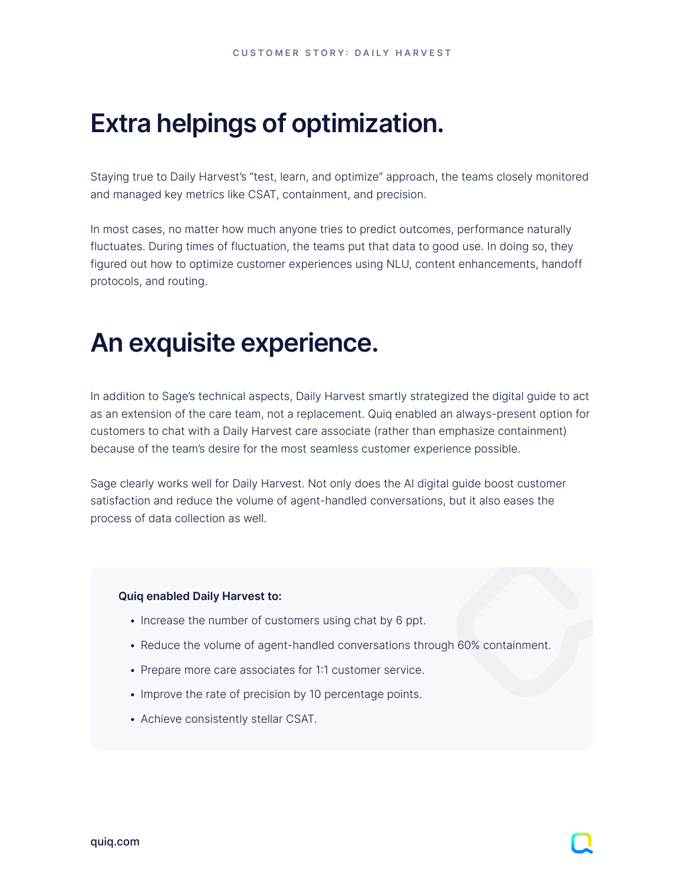# **Extra helpings of optimization.**

Staying true to Daily Harvest's "test, learn, and optimize" approach, the teams closely monitored and managed key metrics like CSAT, containment, and precision.

In most cases, no matter how much anyone tries to predict outcomes, performance naturally fluctuates. During times of fluctuation, the teams put that data to good use. In doing so, they figured out how to optimize customer experiences using NLU, content enhancements, handoff protocols, and routing.

### **An exquisite experience.**

In addition to Sage's technical aspects, Daily Harvest smartly strategized the digital guide to act as an extension of the care team, not a replacement. Quiq enabled an always-present option for customers to chat with a Daily Harvest care associate (rather than emphasize containment) because of the team's desire for the most seamless customer experience possible.

Sage clearly works well for Daily Harvest. Not only does the AI digital guide boost customer satisfaction and reduce the volume of agent-handled conversations, but it also eases the process of data collection as well.

#### **Quiq enabled Daily Harvest to:**

- Increase the number of customers using chat by 6 ppt.
- Reduce the volume of agent-handled conversations through 60% containment.
- Prepare more care associates for 1:1 customer service.
- Improve the rate of precision by 10 percentage points.
- Achieve consistently stellar CSAT.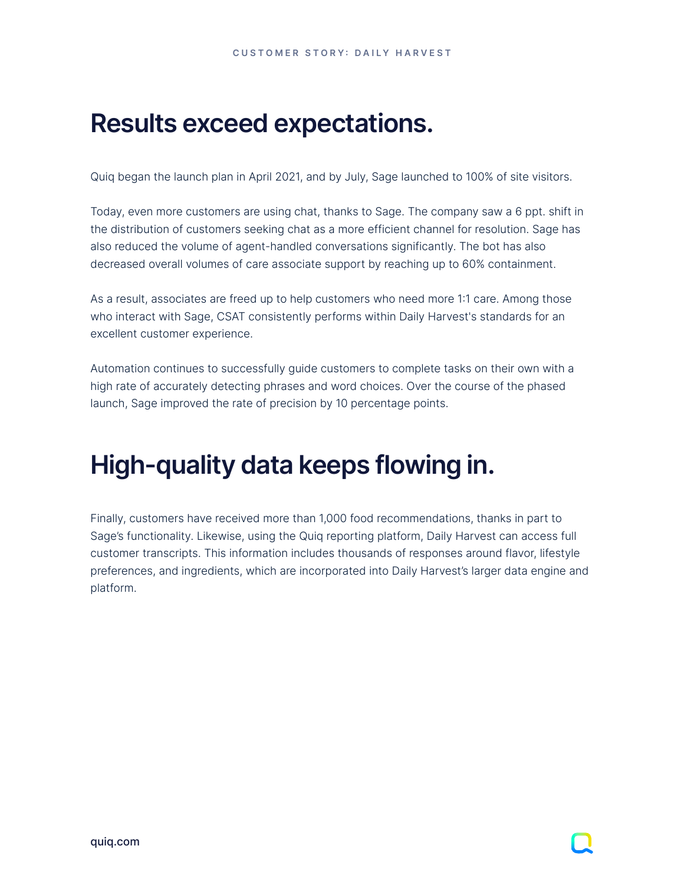### **Results exceed expectations.**

Quiq began the launch plan in April 2021, and by July, Sage launched to 100% of site visitors.

Today, even more customers are using chat, thanks to Sage. The company saw a 6 ppt. shift in the distribution of customers seeking chat as a more efficient channel for resolution. Sage has also reduced the volume of agent-handled conversations significantly. The bot has also decreased overall volumes of care associate support by reaching up to 60% containment.

As a result, associates are freed up to help customers who need more 1:1 care. Among those who interact with Sage, CSAT consistently performs within Daily Harvest's standards for an excellent customer experience.

Automation continues to successfully guide customers to complete tasks on their own with a high rate of accurately detecting phrases and word choices. Over the course of the phased launch, Sage improved the rate of precision by 10 percentage points.

# **High-quality data keeps flowing in.**

Finally, customers have received more than 1,000 food recommendations, thanks in part to Sage's functionality. Likewise, using the Quiq reporting platform, Daily Harvest can access full customer transcripts. This information includes thousands of responses around flavor, lifestyle preferences, and ingredients, which are incorporated into Daily Harvest's larger data engine and platform.